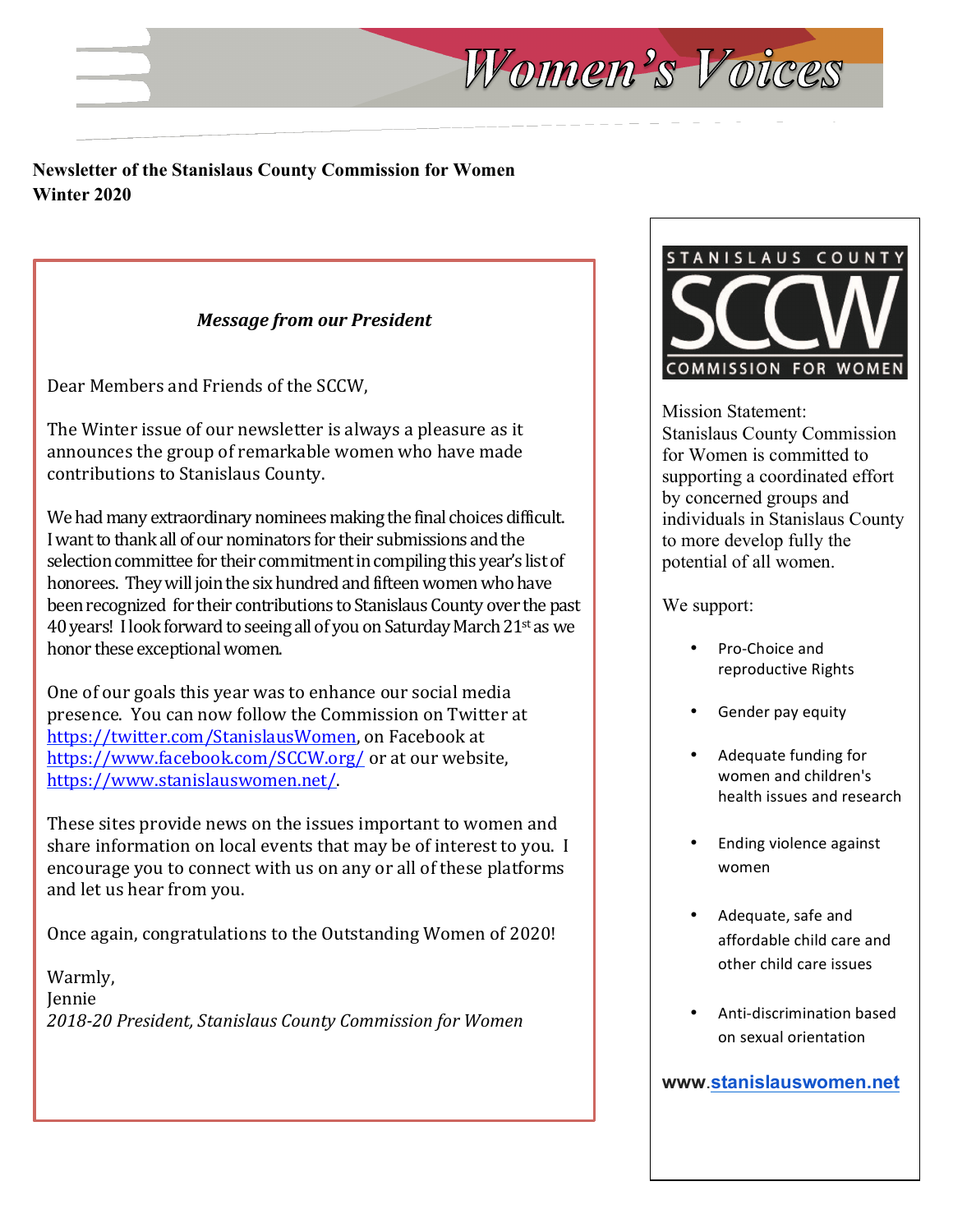#### **Newsletter of the Stanislaus County Commission for Women Winter 2020**

#### *Message from our President*

Dear Members and Friends of the SCCW,

The Winter issue of our newsletter is always a pleasure as it announces the group of remarkable women who have made contributions to Stanislaus County.

We had many extraordinary nominees making the final choices difficult. I want to thank all of our nominators for their submissions and the selection committee for their commitment in compiling this year's list of honorees. They will join the six hundred and fifteen women who have been recognized for their contributions to Stanislaus County over the past 40 years! I look forward to seeing all of you on Saturday March  $21<sup>st</sup>$  as we honor these exceptional women.

One of our goals this year was to enhance our social media presence. You can now follow the Commission on Twitter at https://twitter.com/StanislausWomen, on Facebook at https://www.facebook.com/SCCW.org/ or at our website, https://www.stanislauswomen.net/.

These sites provide news on the issues important to women and share information on local events that may be of interest to you. I encourage you to connect with us on any or all of these platforms and let us hear from you.

Once again, congratulations to the Outstanding Women of 2020!

Warmly, Jennie *2018-20 President, Stanislaus County Commission for Women*



Mission Statement: Stanislaus County Commission for Women is committed to supporting a coordinated effort by concerned groups and individuals in Stanislaus County to more develop fully the potential of all women.

We support:

Women's Voices

- Pro-Choice and reproductive Rights
- Gender pay equity
- Adequate funding for women and children's health issues and research
- **Ending violence against** women
- Adequate, safe and affordable child care and other child care issues
- Anti-discrimination based on sexual orientation

**www**.**stanislauswomen.net**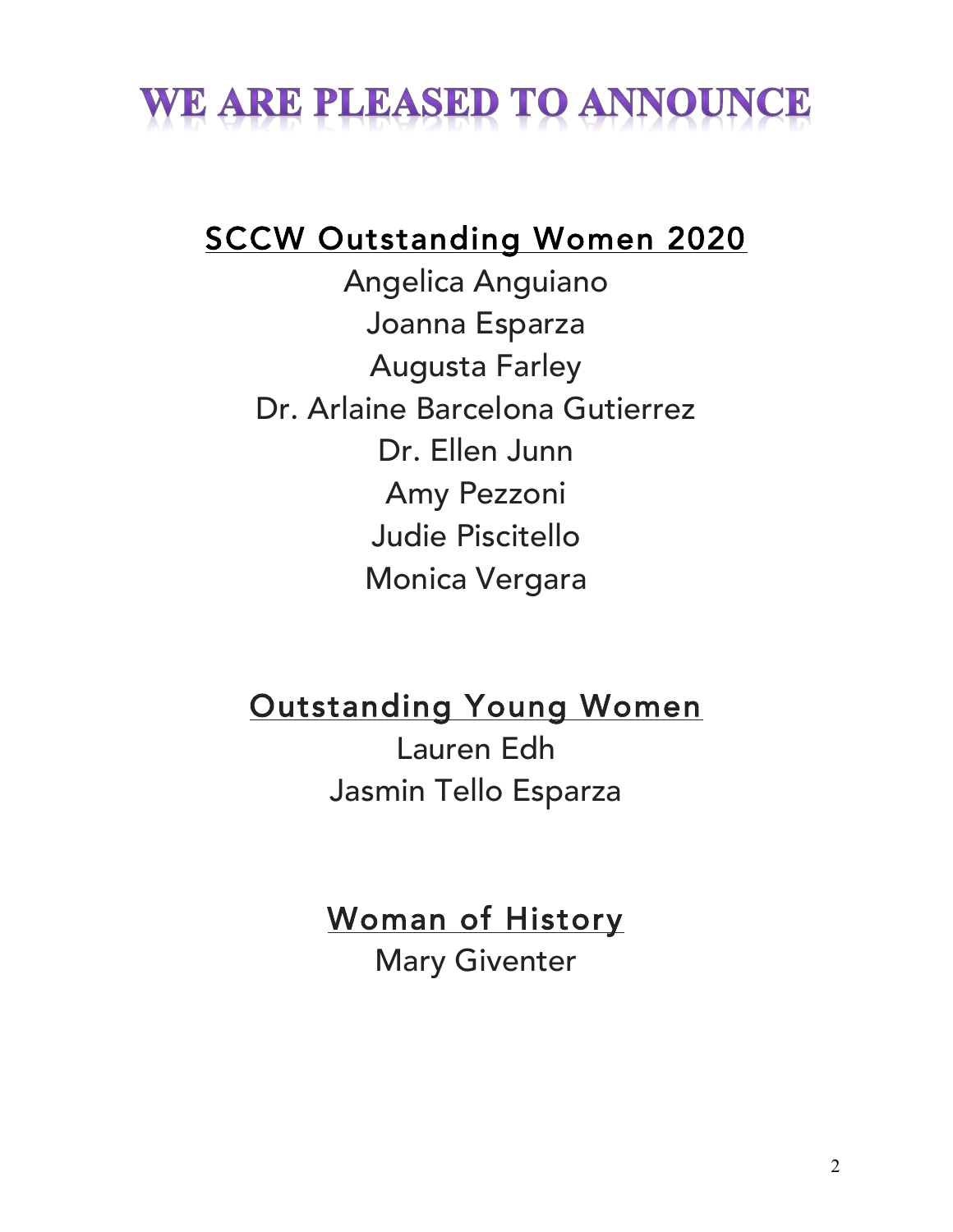# WE ARE PLEASED TO ANNOUNCE

# SCCW Outstanding Women 2020

Angelica Anguiano Joanna Esparza Augusta Farley Dr. Arlaine Barcelona Gutierrez Dr. Ellen Junn Amy Pezzoni Judie Piscitello Monica Vergara

Outstanding Young Women

Lauren Edh Jasmin Tello Esparza

Woman of History

Mary Giventer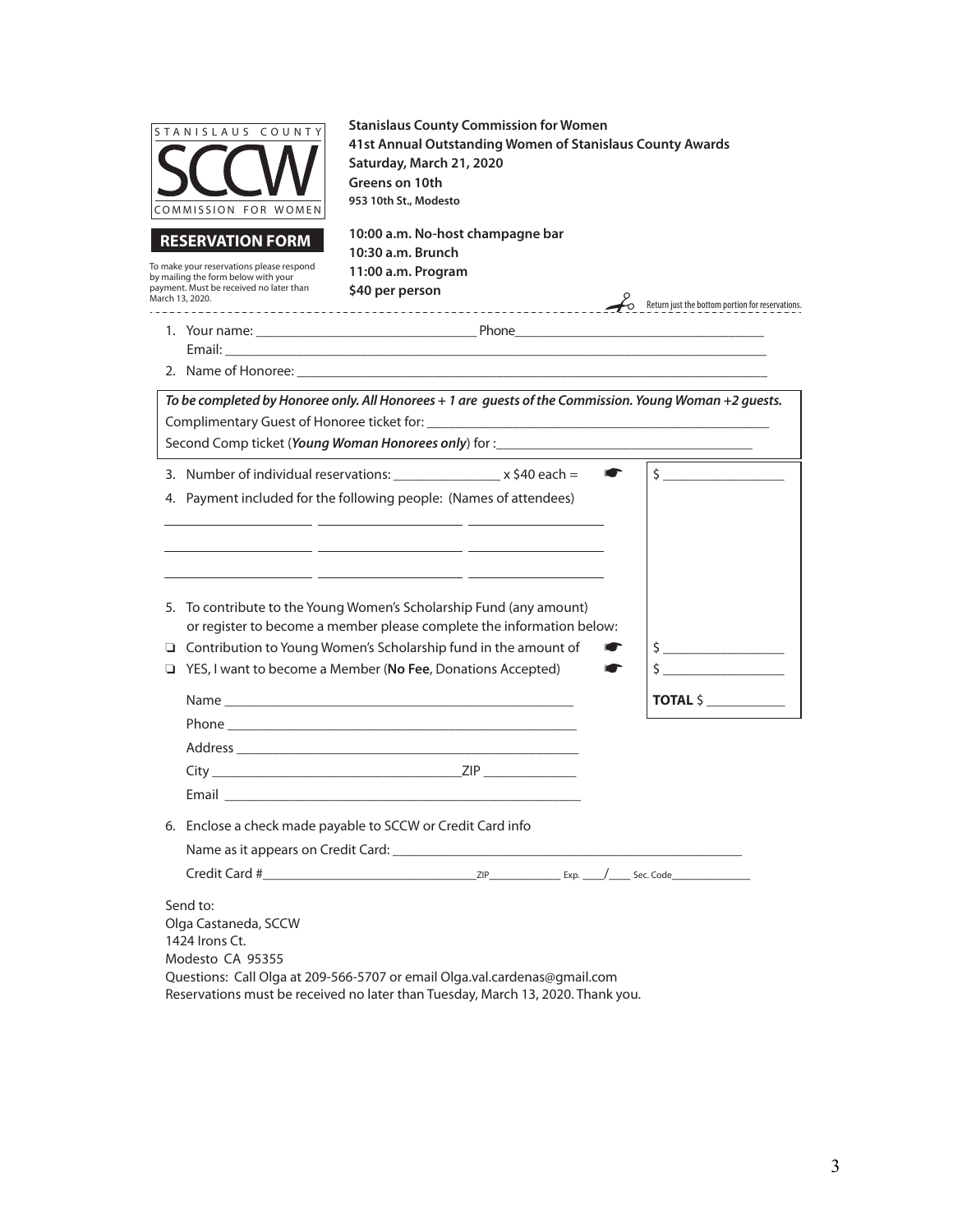| STANISLAUS COUNTY<br>COMMISSION FOR WOMEN                                                                                                                                | <b>Stanislaus County Commission for Women</b><br>41st Annual Outstanding Women of Stanislaus County Awards<br>Saturday, March 21, 2020<br>Greens on 10th<br>953 10th St., Modesto                                                                                                                                                                                                                            |                                                  |
|--------------------------------------------------------------------------------------------------------------------------------------------------------------------------|--------------------------------------------------------------------------------------------------------------------------------------------------------------------------------------------------------------------------------------------------------------------------------------------------------------------------------------------------------------------------------------------------------------|--------------------------------------------------|
| <b>RESERVATION FORM</b><br>To make your reservations please respond<br>by mailing the form below with your<br>payment. Must be received no later than<br>March 13, 2020. | 10:00 a.m. No-host champagne bar<br>10:30 a.m. Brunch<br>11:00 a.m. Program<br>\$40 per person                                                                                                                                                                                                                                                                                                               | Return just the bottom portion for reservations. |
|                                                                                                                                                                          |                                                                                                                                                                                                                                                                                                                                                                                                              |                                                  |
|                                                                                                                                                                          | To be completed by Honoree only. All Honorees + 1 are guests of the Commission. Young Woman +2 guests.<br>Second Comp ticket (Young Woman Honorees only) for :____________________________                                                                                                                                                                                                                   |                                                  |
|                                                                                                                                                                          | 3. Number of individual reservations: $x \leq 40$ each =<br>4. Payment included for the following people: (Names of attendees)<br><u> 1989 - Johann John Stone, markin film yn y brenin y brenin y brenin y brenin y brenin y brenin y brenin y br</u>                                                                                                                                                       | $\frac{1}{2}$<br>$\bullet$                       |
|                                                                                                                                                                          | <u> 1989 - Johann John Stone, markin film fan de ferfingen oan de ferfingen fan de ferfingen oan de ferfingen fan </u><br>5. To contribute to the Young Women's Scholarship Fund (any amount)<br>or register to become a member please complete the information below:<br>□ Contribution to Young Women's Scholarship fund in the amount of<br>□ YES, I want to become a Member (No Fee, Donations Accepted) | $\frac{1}{2}$<br>$\mathsf{\dot{S}}$              |
|                                                                                                                                                                          |                                                                                                                                                                                                                                                                                                                                                                                                              | <b>TOTAL \$</b>                                  |
| Email <b>Exercise Service Service</b>                                                                                                                                    |                                                                                                                                                                                                                                                                                                                                                                                                              |                                                  |
|                                                                                                                                                                          | 6. Enclose a check made payable to SCCW or Credit Card info                                                                                                                                                                                                                                                                                                                                                  |                                                  |
| Send to:<br>Olga Castaneda, SCCW<br>1424 Irons Ct.<br>Modesto CA 95355                                                                                                   | Questions: Call Olga at 209-566-5707 or email Olga.val.cardenas@gmail.com<br>Reservations must be received no later than Tuesday, March 13, 2020. Thank you.                                                                                                                                                                                                                                                 |                                                  |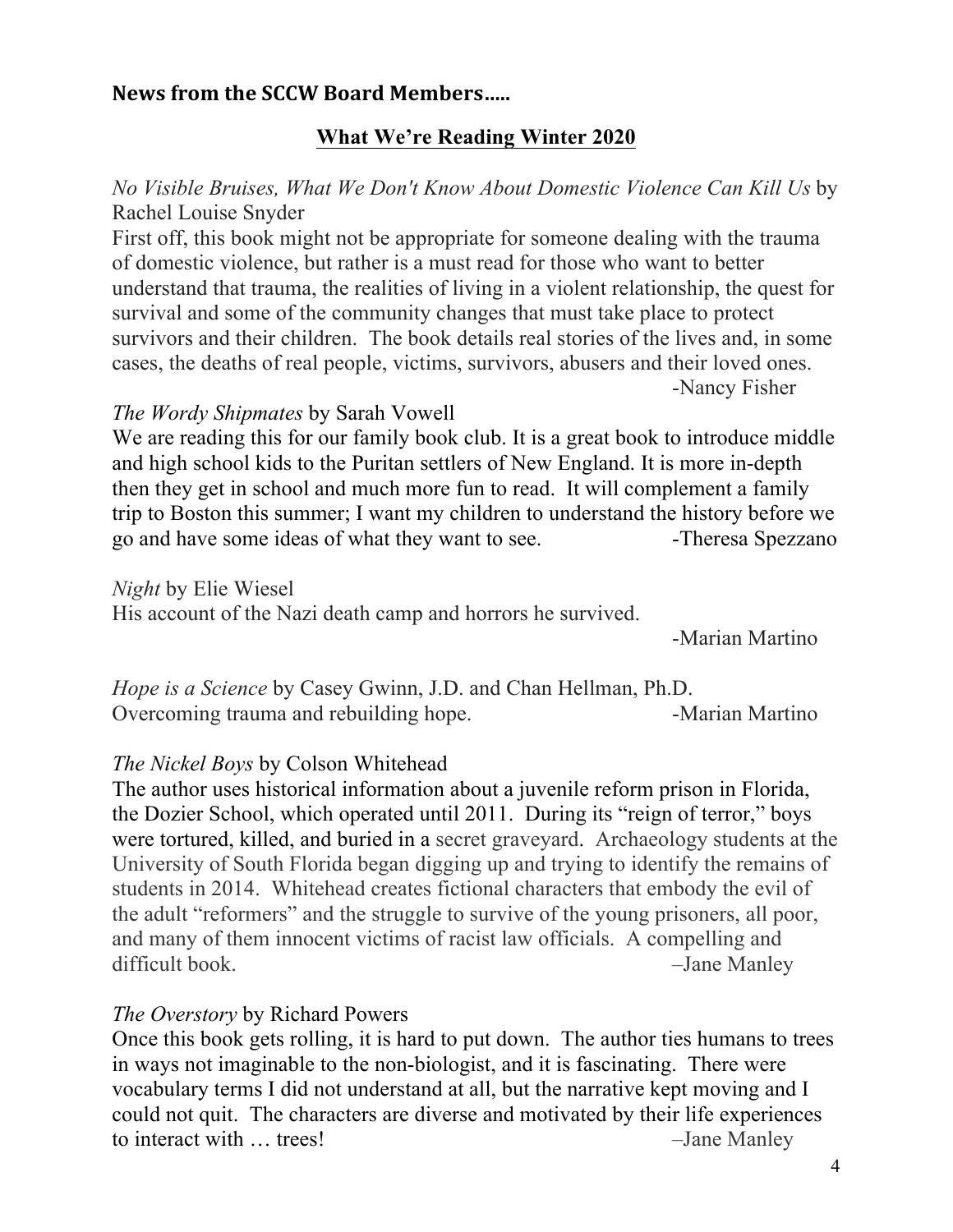# **News from the SCCW Board Members.....**

## **What We're Reading Winter 2020**

# *No Visible Bruises, What We Don't Know About Domestic Violence Can Kill Us* by Rachel Louise Snyder

First off, this book might not be appropriate for someone dealing with the trauma of domestic violence, but rather is a must read for those who want to better understand that trauma, the realities of living in a violent relationship, the quest for survival and some of the community changes that must take place to protect survivors and their children. The book details real stories of the lives and, in some cases, the deaths of real people, victims, survivors, abusers and their loved ones. -Nancy Fisher

#### *The Wordy Shipmates* by Sarah Vowell

We are reading this for our family book club. It is a great book to introduce middle and high school kids to the Puritan settlers of New England. It is more in-depth then they get in school and much more fun to read. It will complement a family trip to Boston this summer; I want my children to understand the history before we go and have some ideas of what they want to see. Theresa Spezzano

*Night* by Elie Wiesel

His account of the Nazi death camp and horrors he survived.

-Marian Martino

*Hope is a Science* by Casey Gwinn, J.D. and Chan Hellman, Ph.D. Overcoming trauma and rebuilding hope. The Solution -Marian Martino

#### *The Nickel Boys* by Colson Whitehead

The author uses historical information about a juvenile reform prison in Florida, the Dozier School, which operated until 2011. During its "reign of terror," boys were tortured, killed, and buried in a secret graveyard. Archaeology students at the University of South Florida began digging up and trying to identify the remains of students in 2014. Whitehead creates fictional characters that embody the evil of the adult "reformers" and the struggle to survive of the young prisoners, all poor, and many of them innocent victims of racist law officials. A compelling and difficult book. – Jane Manley

#### *The Overstory* by Richard Powers

Once this book gets rolling, it is hard to put down. The author ties humans to trees in ways not imaginable to the non-biologist, and it is fascinating. There were vocabulary terms I did not understand at all, but the narrative kept moving and I could not quit. The characters are diverse and motivated by their life experiences to interact with … trees! – The Manley – Jane Manley